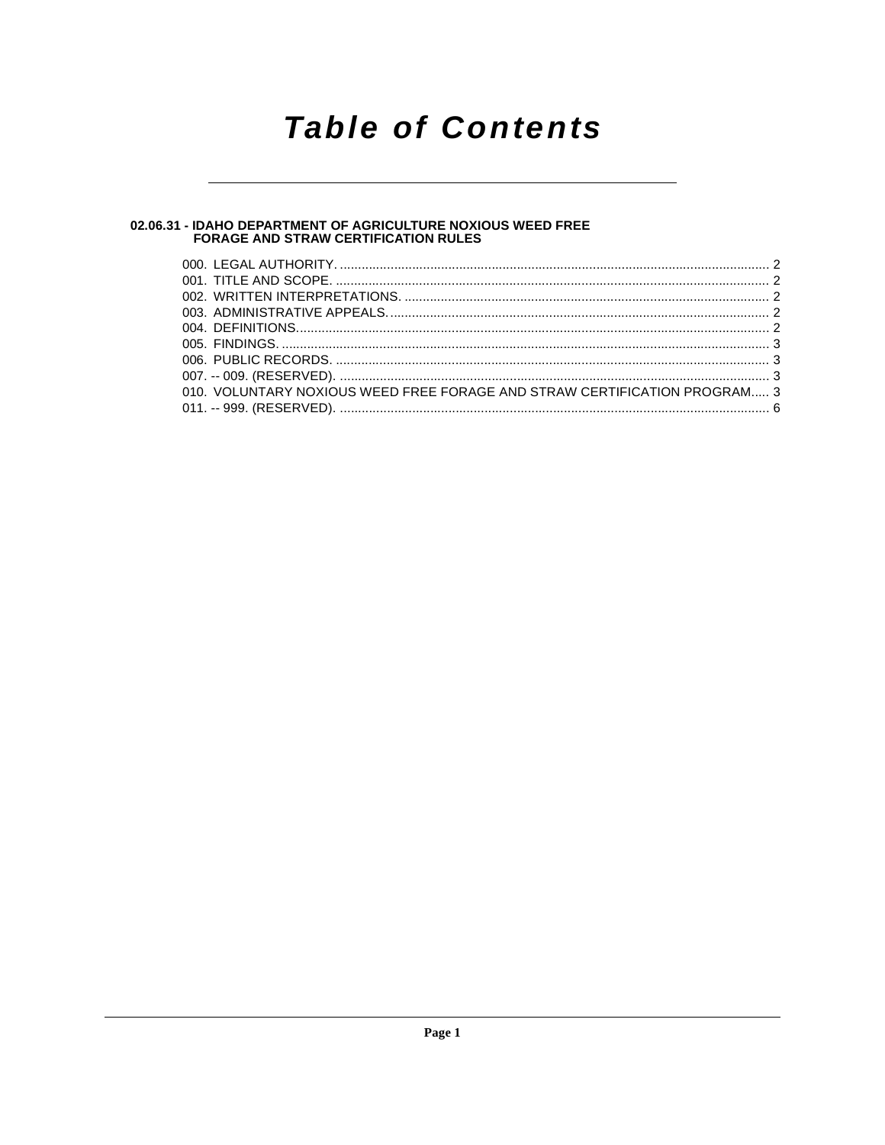# **Table of Contents**

# 02.06.31 - IDAHO DEPARTMENT OF AGRICULTURE NOXIOUS WEED FREE<br>FORAGE AND STRAW CERTIFICATION RULES

| 010. VOLUNTARY NOXIOUS WEED FREE FORAGE AND STRAW CERTIFICATION PROGRAM 3 |  |
|---------------------------------------------------------------------------|--|
|                                                                           |  |
|                                                                           |  |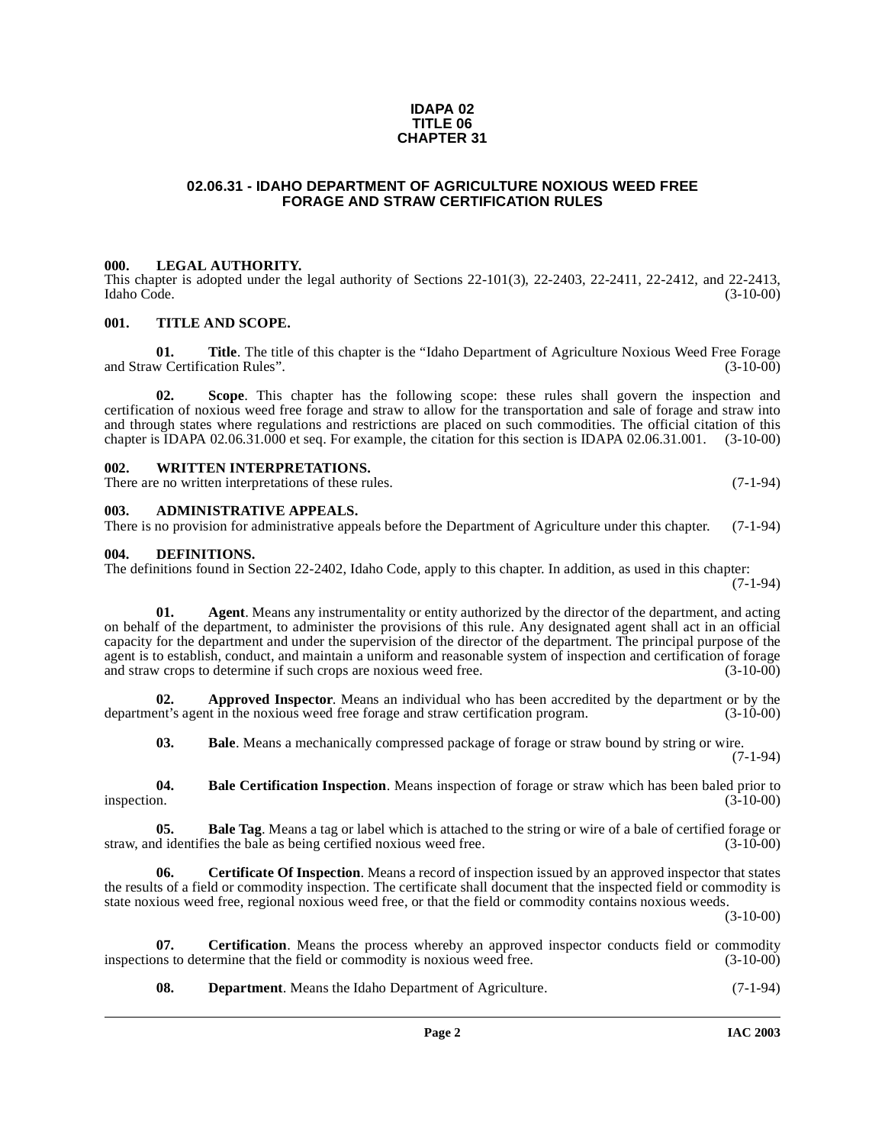### **IDAPA 02 TITLE 06 CHAPTER 31**

### **02.06.31 - IDAHO DEPARTMENT OF AGRICULTURE NOXIOUS WEED FREE FORAGE AND STRAW CERTIFICATION RULES**

### <span id="page-1-1"></span><span id="page-1-0"></span>**000. LEGAL AUTHORITY.**

This chapter is adopted under the legal authority of Sections 22-101(3), 22-2403, 22-2411, 22-2412, and 22-2413, Idaho Code. (3-10-00) Idaho Code. (3-10-00)

### <span id="page-1-2"></span>**001. TITLE AND SCOPE.**

**01. Title**. The title of this chapter is the "Idaho Department of Agriculture Noxious Weed Free Forage w Certification Rules". (3-10-00) and Straw Certification Rules".

**02. Scope**. This chapter has the following scope: these rules shall govern the inspection and certification of noxious weed free forage and straw to allow for the transportation and sale of forage and straw into and through states where regulations and restrictions are placed on such commodities. The official citation of this chapter is IDAPA 02.06.31.000 et seq. For example, the citation for this section is IDAPA 02.06.31.001. (3-10-00)

### <span id="page-1-3"></span>**002. WRITTEN INTERPRETATIONS.**

There are no written interpretations of these rules. (7-1-94)

<span id="page-1-4"></span>**003. ADMINISTRATIVE APPEALS.**

There is no provision for administrative appeals before the Department of Agriculture under this chapter. (7-1-94)

### <span id="page-1-12"></span><span id="page-1-5"></span>**004. DEFINITIONS.**

The definitions found in Section 22-2402, Idaho Code, apply to this chapter. In addition, as used in this chapter: (7-1-94)

**01.** Agent. Means any instrumentality or entity authorized by the director of the department, and acting on behalf of the department, to administer the provisions of this rule. Any designated agent shall act in an official capacity for the department and under the supervision of the director of the department. The principal purpose of the agent is to establish, conduct, and maintain a uniform and reasonable system of inspection and certification of forage and straw crops to determine if such crops are noxious weed free.  $(3-10-00)$ and straw crops to determine if such crops are noxious weed free.

**Approved Inspector**. Means an individual who has been accredited by the department or by the tin the noxious weed free forage and straw certification program. (3-10-00) department's agent in the noxious weed free forage and straw certification program.

<span id="page-1-9"></span><span id="page-1-8"></span><span id="page-1-7"></span><span id="page-1-6"></span>**03. Bale**. Means a mechanically compressed package of forage or straw bound by string or wire. (7-1-94)

**04.** Bale Certification Inspection. Means inspection of forage or straw which has been baled prior to inspection.  $(3-10-00)$ inspection.  $(3-10-00)$ 

**05. Bale Tag**. Means a tag or label which is attached to the string or wire of a bale of certified forage or d identifies the bale as being certified noxious weed free.  $(3-10-00)$ straw, and identifies the bale as being certified noxious weed free.

<span id="page-1-10"></span>**06. Certificate Of Inspection**. Means a record of inspection issued by an approved inspector that states the results of a field or commodity inspection. The certificate shall document that the inspected field or commodity is state noxious weed free, regional noxious weed free, or that the field or commodity contains noxious weeds.

(3-10-00)

**07.** Certification. Means the process whereby an approved inspector conducts field or commodity inspections to determine that the field or commodity is noxious weed free. (3-10-00)

<span id="page-1-11"></span>**08. Department**. Means the Idaho Department of Agriculture. (7-1-94)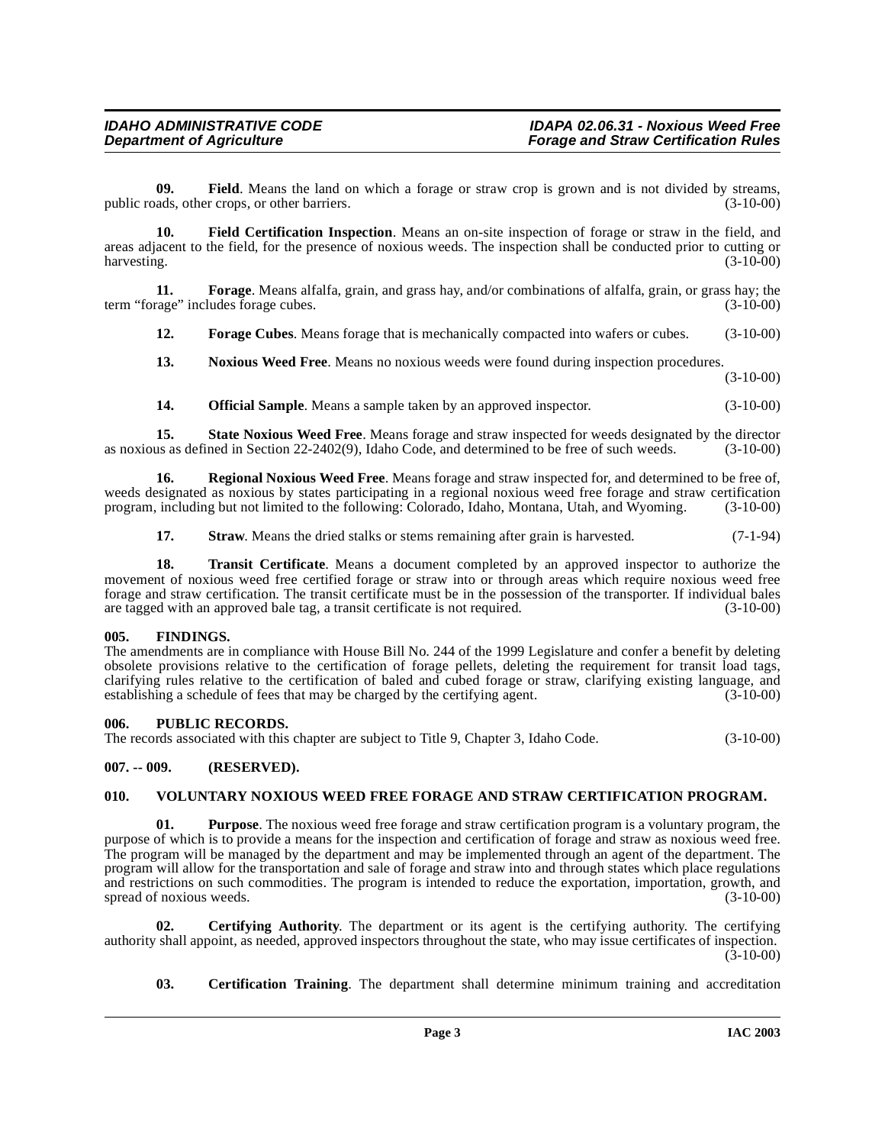<span id="page-2-6"></span>**09.** Field. Means the land on which a forage or straw crop is grown and is not divided by streams, ads. other crops. or other barriers. (3-10-00) public roads, other crops, or other barriers.

<span id="page-2-7"></span>**10. Field Certification Inspection**. Means an on-site inspection of forage or straw in the field, and areas adjacent to the field, for the presence of noxious weeds. The inspection shall be conducted prior to cutting or harvesting. (3-10-00) harvesting. (3-10-00)

**11. Forage**. Means alfalfa, grain, and grass hay, and/or combinations of alfalfa, grain, or grass hay; the term "forage" includes forage cubes. (3-10-00)

<span id="page-2-9"></span><span id="page-2-8"></span>**12. Forage Cubes**. Means forage that is mechanically compacted into wafers or cubes. (3-10-00)

<span id="page-2-10"></span>**13. Noxious Weed Free**. Means no noxious weeds were found during inspection procedures.

(3-10-00)

<span id="page-2-14"></span><span id="page-2-13"></span><span id="page-2-11"></span>**14. Official Sample**. Means a sample taken by an approved inspector. (3-10-00)

**15. State Noxious Weed Free**. Means forage and straw inspected for weeds designated by the director as noxious as defined in Section 22-2402(9), Idaho Code, and determined to be free of such weeds. (3-10-00)

**16. Regional Noxious Weed Free**. Means forage and straw inspected for, and determined to be free of, weeds designated as noxious by states participating in a regional noxious weed free forage and straw certification program, including but not limited to the following: Colorado, Idaho, Montana, Utah, and Wyoming. (3-10-00)

<span id="page-2-16"></span><span id="page-2-15"></span>**17. Straw**. Means the dried stalks or stems remaining after grain is harvested.  $(7-1-94)$ 

**18. Transit Certificate**. Means a document completed by an approved inspector to authorize the movement of noxious weed free certified forage or straw into or through areas which require noxious weed free forage and straw certification. The transit certificate must be in the possession of the transporter. If individual bales are tagged with an approved bale tag, a transit certificate is not required. (3-10-00)

### <span id="page-2-0"></span>**005. FINDINGS.**

The amendments are in compliance with House Bill No. 244 of the 1999 Legislature and confer a benefit by deleting obsolete provisions relative to the certification of forage pellets, deleting the requirement for transit load tags, clarifying rules relative to the certification of baled and cubed forage or straw, clarifying existing language, and establishing a schedule of fees that may be charged by the certifying agent. (3-10-00)

### <span id="page-2-1"></span>**006. PUBLIC RECORDS.**

The records associated with this chapter are subject to Title 9, Chapter 3, Idaho Code. (3-10-00)

### <span id="page-2-2"></span>**007. -- 009. (RESERVED).**

### <span id="page-2-17"></span><span id="page-2-3"></span>**010. VOLUNTARY NOXIOUS WEED FREE FORAGE AND STRAW CERTIFICATION PROGRAM.**

<span id="page-2-12"></span>**01. Purpose**. The noxious weed free forage and straw certification program is a voluntary program, the purpose of which is to provide a means for the inspection and certification of forage and straw as noxious weed free. The program will be managed by the department and may be implemented through an agent of the department. The program will allow for the transportation and sale of forage and straw into and through states which place regulations and restrictions on such commodities. The program is intended to reduce the exportation, importation, growth, and spread of noxious weeds. (3-10-00) spread of noxious weeds.

**02. Certifying Authority**. The department or its agent is the certifying authority. The certifying authority shall appoint, as needed, approved inspectors throughout the state, who may issue certificates of inspection.  $(3-10-00)$ 

<span id="page-2-5"></span><span id="page-2-4"></span>**03. Certification Training**. The department shall determine minimum training and accreditation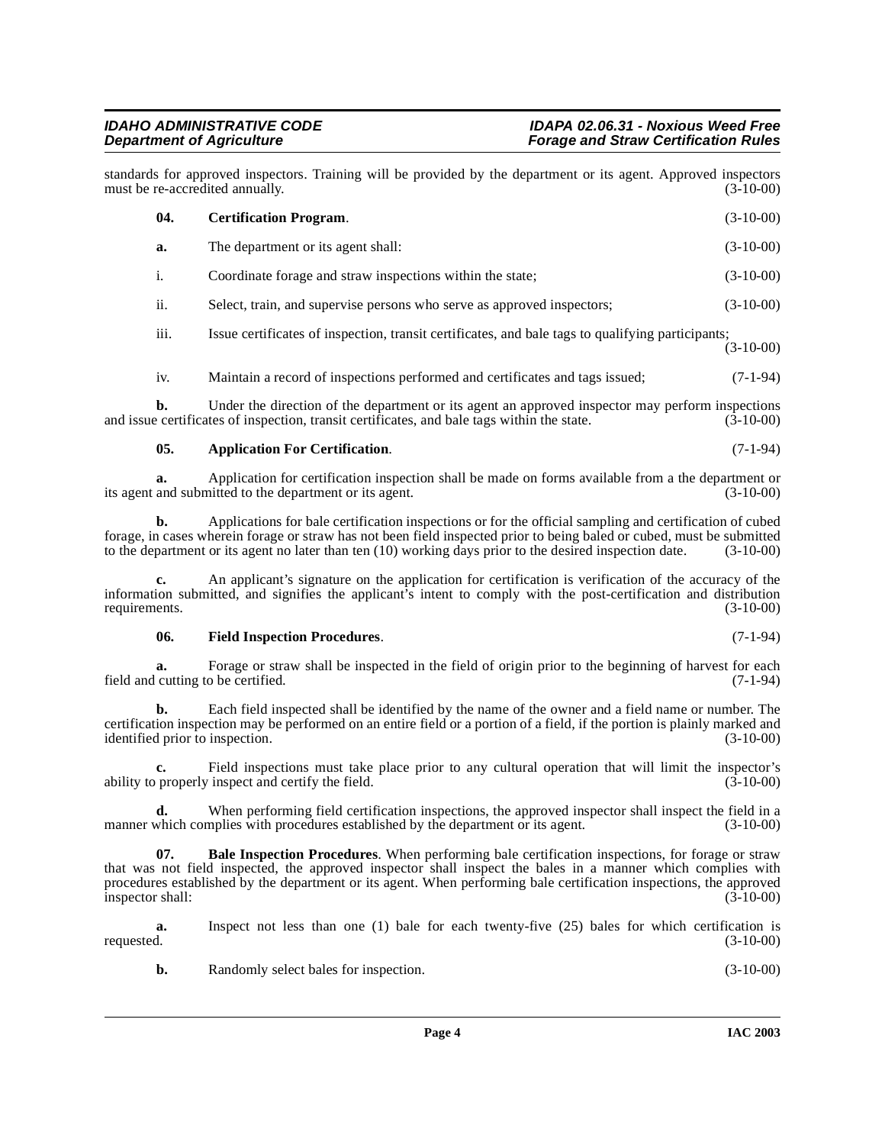standards for approved inspectors. Training will be provided by the department or its agent. Approved inspectors must be re-accredited annually.

<span id="page-3-2"></span>

|    | 04.                                                                                                                                                                                                   | <b>Certification Program.</b>                                                                                    | $(3-10-00)$ |
|----|-------------------------------------------------------------------------------------------------------------------------------------------------------------------------------------------------------|------------------------------------------------------------------------------------------------------------------|-------------|
|    | a.                                                                                                                                                                                                    | The department or its agent shall:                                                                               | $(3-10-00)$ |
| i. |                                                                                                                                                                                                       | Coordinate forage and straw inspections within the state;                                                        | $(3-10-00)$ |
|    | ii.                                                                                                                                                                                                   | Select, train, and supervise persons who serve as approved inspectors;                                           | $(3-10-00)$ |
|    | iii.                                                                                                                                                                                                  | Issue certificates of inspection, transit certificates, and bale tags to qualifying participants;<br>$(3-10-00)$ |             |
|    | iv.                                                                                                                                                                                                   | Maintain a record of inspections performed and certificates and tags issued;                                     | $(7-1-94)$  |
|    | Under the direction of the department or its agent an approved inspector may perform inspections<br>b.<br>and issue certificates of inspection, transit certificates, and bale tags within the state. |                                                                                                                  | $(3-10-00)$ |

### <span id="page-3-0"></span>**05.** Application For Certification. (7-1-94)

**a.** Application for certification inspection shall be made on forms available from a the department or and submitted to the department or its agent.  $(3-10-00)$ its agent and submitted to the department or its agent.

**b.** Applications for bale certification inspections or for the official sampling and certification of cubed forage, in cases wherein forage or straw has not been field inspected prior to being baled or cubed, must be submitted to the department or its agent no later than ten (10) working days prior to the desired inspection date to the department or its agent no later than ten  $(10)$  working days prior to the desired inspection date.

**c.** An applicant's signature on the application for certification is verification of the accuracy of the information submitted, and signifies the applicant's intent to comply with the post-certification and distribution requirements. (3-10-00) requirements.  $(3-10-00)$ 

### <span id="page-3-3"></span>**06. Field Inspection Procedures**. (7-1-94)

**a.** Forage or straw shall be inspected in the field of origin prior to the beginning of harvest for each cutting to be certified. (7-1-94) field and cutting to be certified.

**b.** Each field inspected shall be identified by the name of the owner and a field name or number. The certification inspection may be performed on an entire field or a portion of a field, if the portion is plainly marked and identified prior to inspection. (3-10-00) identified prior to inspection.

**c.** Field inspections must take place prior to any cultural operation that will limit the inspector's ability to properly inspect and certify the field. (3-10-00)

**d.** When performing field certification inspections, the approved inspector shall inspect the field in a which complies with procedures established by the department or its agent. (3-10-00) manner which complies with procedures established by the department or its agent.

<span id="page-3-1"></span>**07. Bale Inspection Procedures**. When performing bale certification inspections, for forage or straw that was not field inspected, the approved inspector shall inspect the bales in a manner which complies with procedures established by the department or its agent. When performing bale certification inspections, the approved<br>(3-10-00) inspector shall:

**a.** Inspect not less than one (1) bale for each twenty-five (25) bales for which certification is requested.  $(3-10-00)$ requested. (3-10-00)

**b.** Randomly select bales for inspection. (3-10-00)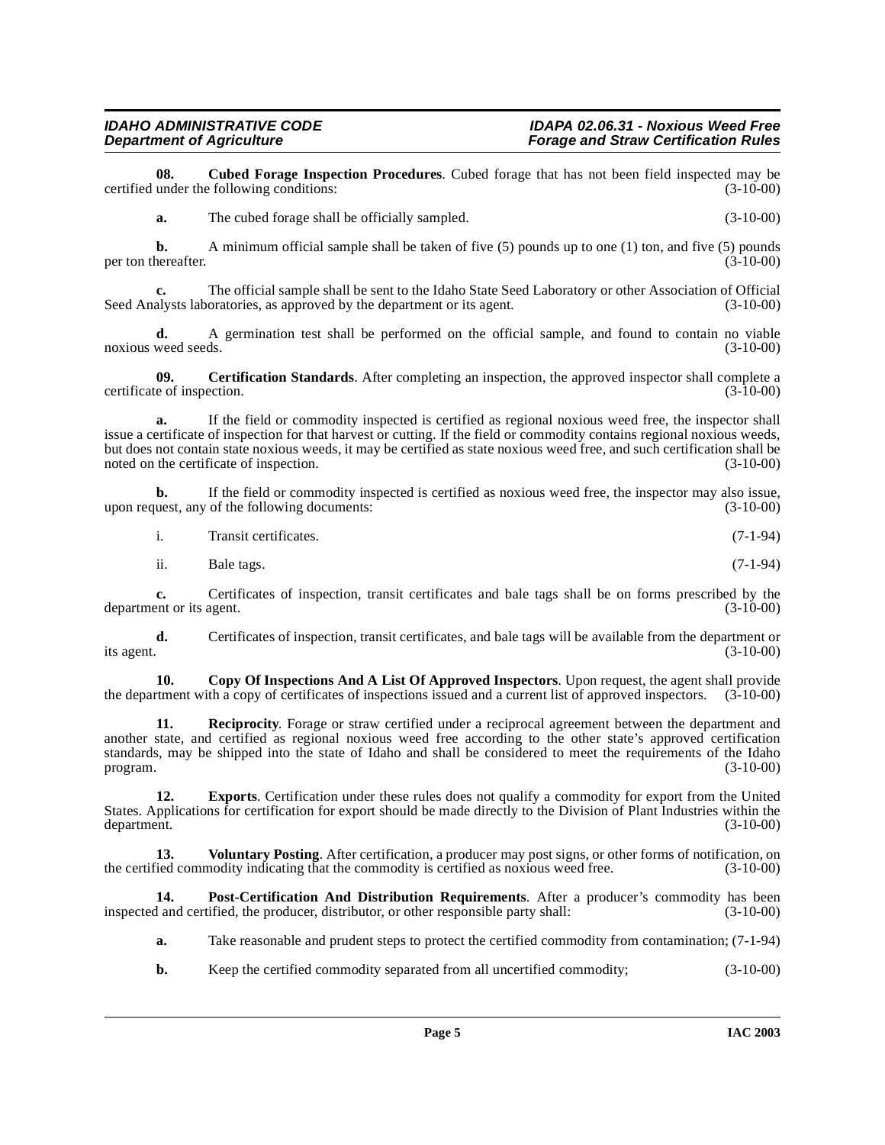## **IDAHO ADMINISTRATIVE CODE**<br>Department of Agriculture in the example of the set of the *IDAPA 02.06.31* - Noxious Weed Free

**08.** Cubed Forage Inspection Procedures. Cubed forage that has not been field inspected may be under the following conditions: (3-10-00) certified under the following conditions:

<span id="page-4-2"></span>**a.** The cubed forage shall be officially sampled. (3-10-00)

**b.** A minimum official sample shall be taken of five (5) pounds up to one (1) ton, and five (5) pounds hereafter.  $(3-10-00)$ per ton thereafter.

**c.** The official sample shall be sent to the Idaho State Seed Laboratory or other Association of Official Seed Analysts laboratories, as approved by the department or its agent. (3-10-00)

**d.** A germination test shall be performed on the official sample, and found to contain no viable weed seeds. (3-10-00) noxious weed seeds.

<span id="page-4-0"></span>**09. Certification Standards**. After completing an inspection, the approved inspector shall complete a e of inspection. (3-10-00) certificate of inspection.

**a.** If the field or commodity inspected is certified as regional noxious weed free, the inspector shall issue a certificate of inspection for that harvest or cutting. If the field or commodity contains regional noxious weeds, but does not contain state noxious weeds, it may be certified as state noxious weed free, and such certification shall be noted on the certificate of inspection. (3-10-00)

**b.** If the field or commodity inspected is certified as noxious weed free, the inspector may also issue, uest, any of the following documents:  $(3-10-00)$ upon request, any of the following documents:

|  | Transit certificates. | $(7-1-94)$ |
|--|-----------------------|------------|
|--|-----------------------|------------|

ii. Bale tags.  $(7-1-94)$ 

**c.** Certificates of inspection, transit certificates and bale tags shall be on forms prescribed by the ent or its agent. (3-10-00) department or its agent.

**d.** Certificates of inspection, transit certificates, and bale tags will be available from the department or its agent.  $(3-10-00)$ 

<span id="page-4-1"></span>**10. Copy Of Inspections And A List Of Approved Inspectors**. Upon request, the agent shall provide term that a copy of certificates of inspections issued and a current list of approved inspectors. (3-10-00) the department with a copy of certificates of inspections issued and a current list of approved inspectors.

<span id="page-4-5"></span>**11. Reciprocity**. Forage or straw certified under a reciprocal agreement between the department and another state, and certified as regional noxious weed free according to the other state's approved certification standards, may be shipped into the state of Idaho and shall be considered to meet the requirements of the Idaho<br>(3-10-00) (3-10-00)  $\mu$  program.  $(3-10-00)$ 

<span id="page-4-3"></span>**12. Exports**. Certification under these rules does not qualify a commodity for export from the United States. Applications for certification for export should be made directly to the Division of Plant Industries within the department. (3-10-00) department. (3-10-00)

<span id="page-4-6"></span>**13.** Voluntary Posting. After certification, a producer may post signs, or other forms of notification, on the certified commodity indicating that the commodity is certified as noxious weed free. (3-10-00)

**14. Post-Certification And Distribution Requirements**. After a producer's commodity has been inspected and certified, the producer, distributor, or other responsible party shall: (3-10-00)

- <span id="page-4-4"></span>**a.** Take reasonable and prudent steps to protect the certified commodity from contamination; (7-1-94)
- **b.** Keep the certified commodity separated from all uncertified commodity; (3-10-00)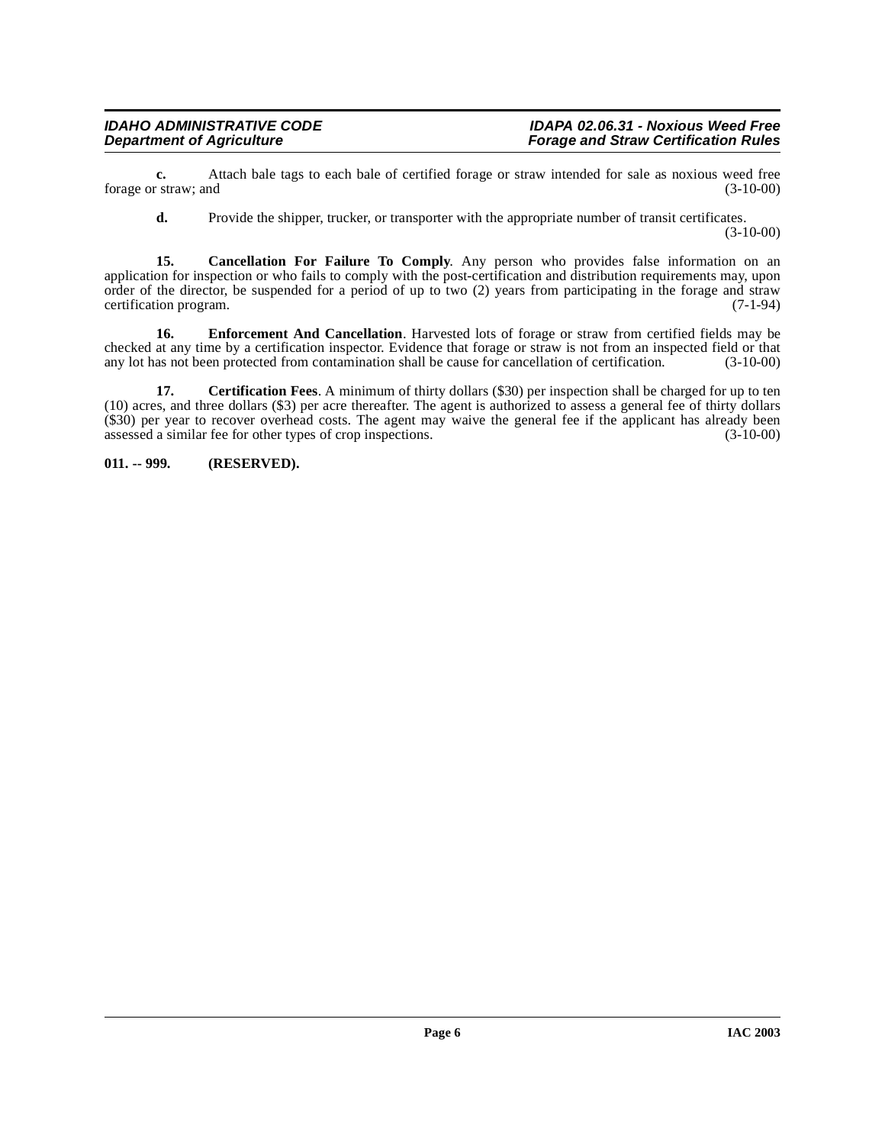**c.** Attach bale tags to each bale of certified forage or straw intended for sale as noxious weed free (3-10-00) forage or straw; and

<span id="page-5-1"></span>**d.** Provide the shipper, trucker, or transporter with the appropriate number of transit certificates.

(3-10-00)

**15. Cancellation For Failure To Comply**. Any person who provides false information on an application for inspection or who fails to comply with the post-certification and distribution requirements may, upon order of the director, be suspended for a period of up to two (2) years from participating in the forage and straw certification program. (7-1-94)

<span id="page-5-3"></span>**16. Enforcement And Cancellation**. Harvested lots of forage or straw from certified fields may be checked at any time by a certification inspector. Evidence that forage or straw is not from an inspected field or that any lot has not been protected from contamination shall be cause for cancellation of certification. (3-10-00)

<span id="page-5-2"></span>**17.** Certification Fees. A minimum of thirty dollars (\$30) per inspection shall be charged for up to ten (10) acres, and three dollars (\$3) per acre thereafter. The agent is authorized to assess a general fee of thirty dollars (\$30) per year to recover overhead costs. The agent may waive the general fee if the applicant has already been assessed a similar fee for other types of crop inspections. (3-10-00)

<span id="page-5-0"></span>**011. -- 999. (RESERVED).**